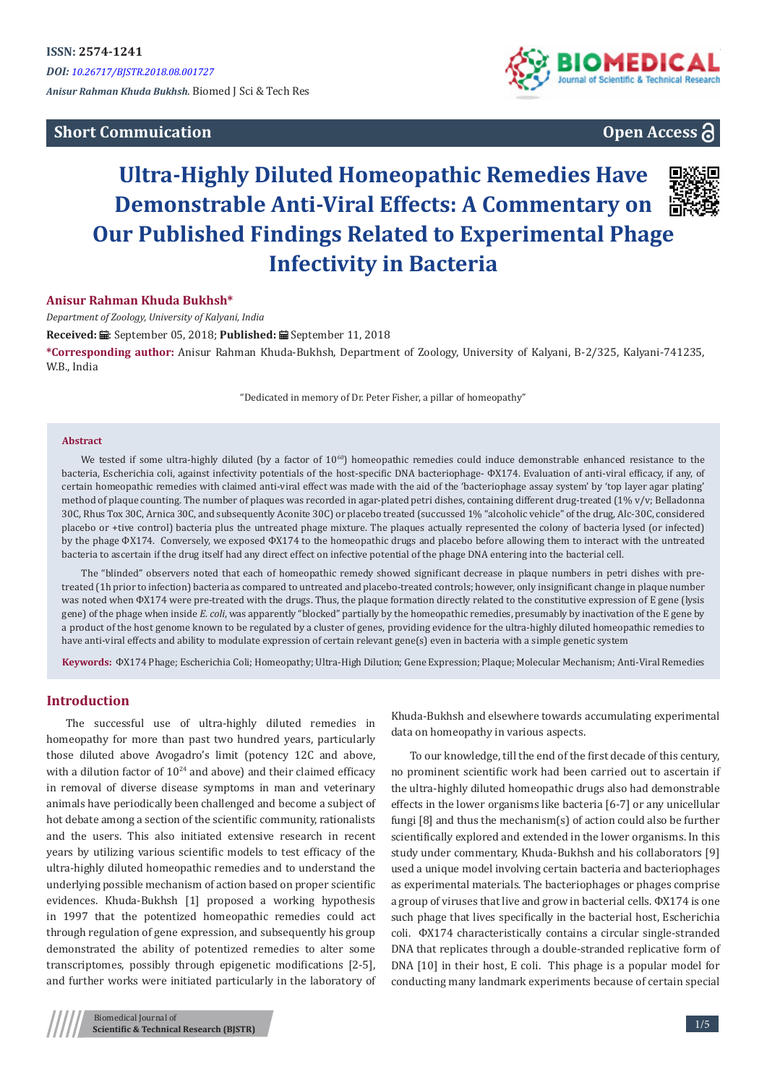## **Short Commuication**



## **Open Access**

# **Ultra-Highly Diluted Homeopathic Remedies Have Demonstrable Anti-Viral Effects: A Commentary on Our Published Findings Related to Experimental Phage Infectivity in Bacteria**



#### **Anisur Rahman Khuda Bukhsh\***

*Department of Zoology, University of Kalyani, India*

Received: *a* : September 05, 2018; Published: a September 11, 2018

**\*Corresponding author:** Anisur Rahman Khuda-Bukhsh, Department of Zoology, University of Kalyani, B-2/325, Kalyani-741235, W.B., India

"Dedicated in memory of Dr. Peter Fisher, a pillar of homeopathy"

#### **Abstract**

We tested if some ultra-highly diluted (by a factor of  $10^{60}$ ) homeopathic remedies could induce demonstrable enhanced resistance to the bacteria, Escherichia coli, against infectivity potentials of the host-specific DNA bacteriophage- ФX174. Evaluation of anti-viral efficacy, if any, of certain homeopathic remedies with claimed anti-viral effect was made with the aid of the 'bacteriophage assay system' by 'top layer agar plating' method of plaque counting. The number of plaques was recorded in agar-plated petri dishes, containing different drug-treated (1% v/v; Belladonna 30C, Rhus Tox 30C, Arnica 30C, and subsequently Aconite 30C) or placebo treated (succussed 1% "alcoholic vehicle" of the drug, Alc-30C, considered placebo or +tive control) bacteria plus the untreated phage mixture. The plaques actually represented the colony of bacteria lysed (or infected) by the phage ФX174. Conversely, we exposed ФX174 to the homeopathic drugs and placebo before allowing them to interact with the untreated bacteria to ascertain if the drug itself had any direct effect on infective potential of the phage DNA entering into the bacterial cell.

The "blinded" observers noted that each of homeopathic remedy showed significant decrease in plaque numbers in petri dishes with pretreated (1h prior to infection) bacteria as compared to untreated and placebo-treated controls; however, only insignificant change in plaque number was noted when  $\Phi$ X174 were pre-treated with the drugs. Thus, the plaque formation directly related to the constitutive expression of E gene (lysis gene) of the phage when inside *E. coli*, was apparently "blocked" partially by the homeopathic remedies, presumably by inactivation of the E gene by a product of the host genome known to be regulated by a cluster of genes, providing evidence for the ultra-highly diluted homeopathic remedies to have anti-viral effects and ability to modulate expression of certain relevant gene(s) even in bacteria with a simple genetic system

**Keywords:** ФX174 Phage; Escherichia Coli; Homeopathy; Ultra-High Dilution; Gene Expression; Plaque; Molecular Mechanism; Anti-Viral Remedies

### **Introduction**

The successful use of ultra-highly diluted remedies in homeopathy for more than past two hundred years, particularly those diluted above Avogadro's limit (potency 12C and above, with a dilution factor of  $10^{24}$  and above) and their claimed efficacy in removal of diverse disease symptoms in man and veterinary animals have periodically been challenged and become a subject of hot debate among a section of the scientific community, rationalists and the users. This also initiated extensive research in recent years by utilizing various scientific models to test efficacy of the ultra-highly diluted homeopathic remedies and to understand the underlying possible mechanism of action based on proper scientific evidences. Khuda-Bukhsh [1] proposed a working hypothesis in 1997 that the potentized homeopathic remedies could act through regulation of gene expression, and subsequently his group demonstrated the ability of potentized remedies to alter some transcriptomes, possibly through epigenetic modifications [2-5], and further works were initiated particularly in the laboratory of Khuda-Bukhsh and elsewhere towards accumulating experimental data on homeopathy in various aspects.

To our knowledge, till the end of the first decade of this century, no prominent scientific work had been carried out to ascertain if the ultra-highly diluted homeopathic drugs also had demonstrable effects in the lower organisms like bacteria [6-7] or any unicellular fungi [8] and thus the mechanism(s) of action could also be further scientifically explored and extended in the lower organisms. In this study under commentary, Khuda-Bukhsh and his collaborators [9] used a unique model involving certain bacteria and bacteriophages as experimental materials. The bacteriophages or phages comprise a group of viruses that live and grow in bacterial cells. ФX174 is one such phage that lives specifically in the bacterial host, Escherichia coli. ФX174 characteristically contains a circular single-stranded DNA that replicates through a double-stranded replicative form of DNA [10] in their host, E coli. This phage is a popular model for conducting many landmark experiments because of certain special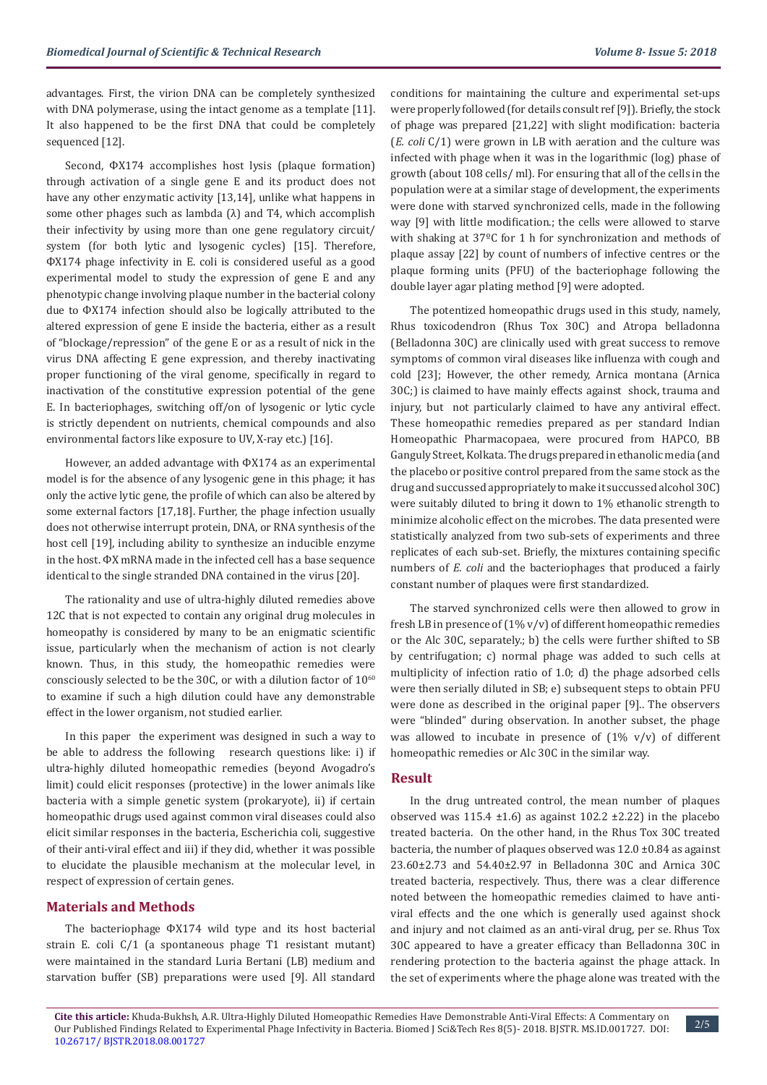advantages. First, the virion DNA can be completely synthesized with DNA polymerase, using the intact genome as a template [11]. It also happened to be the first DNA that could be completely sequenced [12].

Second, ФX174 accomplishes host lysis (plaque formation) through activation of a single gene E and its product does not have any other enzymatic activity [13,14], unlike what happens in some other phages such as lambda  $(\lambda)$  and T4, which accomplish their infectivity by using more than one gene regulatory circuit/ system (for both lytic and lysogenic cycles) [15]. Therefore, ФX174 phage infectivity in E. coli is considered useful as a good experimental model to study the expression of gene E and any phenotypic change involving plaque number in the bacterial colony due to ФX174 infection should also be logically attributed to the altered expression of gene E inside the bacteria, either as a result of "blockage/repression" of the gene E or as a result of nick in the virus DNA affecting E gene expression, and thereby inactivating proper functioning of the viral genome, specifically in regard to inactivation of the constitutive expression potential of the gene E. In bacteriophages, switching off/on of lysogenic or lytic cycle is strictly dependent on nutrients, chemical compounds and also environmental factors like exposure to UV, X-ray etc.) [16].

However, an added advantage with ФX174 as an experimental model is for the absence of any lysogenic gene in this phage; it has only the active lytic gene, the profile of which can also be altered by some external factors [17,18]. Further, the phage infection usually does not otherwise interrupt protein, DNA, or RNA synthesis of the host cell [19], including ability to synthesize an inducible enzyme in the host. ФX mRNA made in the infected cell has a base sequence identical to the single stranded DNA contained in the virus [20].

The rationality and use of ultra-highly diluted remedies above 12C that is not expected to contain any original drug molecules in homeopathy is considered by many to be an enigmatic scientific issue, particularly when the mechanism of action is not clearly known. Thus, in this study, the homeopathic remedies were consciously selected to be the 30C, or with a dilution factor of  $10^{60}$ to examine if such a high dilution could have any demonstrable effect in the lower organism, not studied earlier.

In this paper the experiment was designed in such a way to be able to address the following research questions like: i) if ultra-highly diluted homeopathic remedies (beyond Avogadro's limit) could elicit responses (protective) in the lower animals like bacteria with a simple genetic system (prokaryote), ii) if certain homeopathic drugs used against common viral diseases could also elicit similar responses in the bacteria, Escherichia coli, suggestive of their anti-viral effect and iii) if they did, whether it was possible to elucidate the plausible mechanism at the molecular level, in respect of expression of certain genes.

#### **Materials and Methods**

The bacteriophage ФX174 wild type and its host bacterial strain E. coli C/1 (a spontaneous phage T1 resistant mutant) were maintained in the standard Luria Bertani (LB) medium and starvation buffer (SB) preparations were used [9]. All standard

conditions for maintaining the culture and experimental set-ups were properly followed (for details consult ref [9]). Briefly, the stock of phage was prepared [21,22] with slight modification: bacteria (*E. coli* C/1) were grown in LB with aeration and the culture was infected with phage when it was in the logarithmic (log) phase of growth (about 108 cells/ ml). For ensuring that all of the cells in the population were at a similar stage of development, the experiments were done with starved synchronized cells, made in the following way [9] with little modification.; the cells were allowed to starve with shaking at 37ºC for 1 h for synchronization and methods of plaque assay [22] by count of numbers of infective centres or the plaque forming units (PFU) of the bacteriophage following the double layer agar plating method [9] were adopted.

The potentized homeopathic drugs used in this study, namely, Rhus toxicodendron (Rhus Tox 30C) and Atropa belladonna (Belladonna 30C) are clinically used with great success to remove symptoms of common viral diseases like influenza with cough and cold [23]; However, the other remedy, Arnica montana (Arnica 30C;) is claimed to have mainly effects against shock, trauma and injury, but not particularly claimed to have any antiviral effect. These homeopathic remedies prepared as per standard Indian Homeopathic Pharmacopaea, were procured from HAPCO, BB Ganguly Street, Kolkata. The drugs prepared in ethanolic media (and the placebo or positive control prepared from the same stock as the drug and succussed appropriately to make it succussed alcohol 30C) were suitably diluted to bring it down to 1% ethanolic strength to minimize alcoholic effect on the microbes. The data presented were statistically analyzed from two sub-sets of experiments and three replicates of each sub-set. Briefly, the mixtures containing specific numbers of *E. coli* and the bacteriophages that produced a fairly constant number of plaques were first standardized.

The starved synchronized cells were then allowed to grow in fresh LB in presence of  $(1\% v/v)$  of different homeopathic remedies or the Alc 30C, separately.; b) the cells were further shifted to SB by centrifugation; c) normal phage was added to such cells at multiplicity of infection ratio of 1.0; d) the phage adsorbed cells were then serially diluted in SB; e) subsequent steps to obtain PFU were done as described in the original paper [9].. The observers were "blinded" during observation. In another subset, the phage was allowed to incubate in presence of  $(1\% \text{ v/v})$  of different homeopathic remedies or Alc 30C in the similar way.

#### **Result**

In the drug untreated control, the mean number of plaques observed was  $115.4 \pm 1.6$ ) as against  $102.2 \pm 2.22$ ) in the placebo treated bacteria. On the other hand, in the Rhus Tox 30C treated bacteria, the number of plaques observed was 12.0 ±0.84 as against 23.60±2.73 and 54.40±2.97 in Belladonna 30C and Arnica 30C treated bacteria, respectively. Thus, there was a clear difference noted between the homeopathic remedies claimed to have antiviral effects and the one which is generally used against shock and injury and not claimed as an anti-viral drug, per se. Rhus Tox 30C appeared to have a greater efficacy than Belladonna 30C in rendering protection to the bacteria against the phage attack. In the set of experiments where the phage alone was treated with the

2/5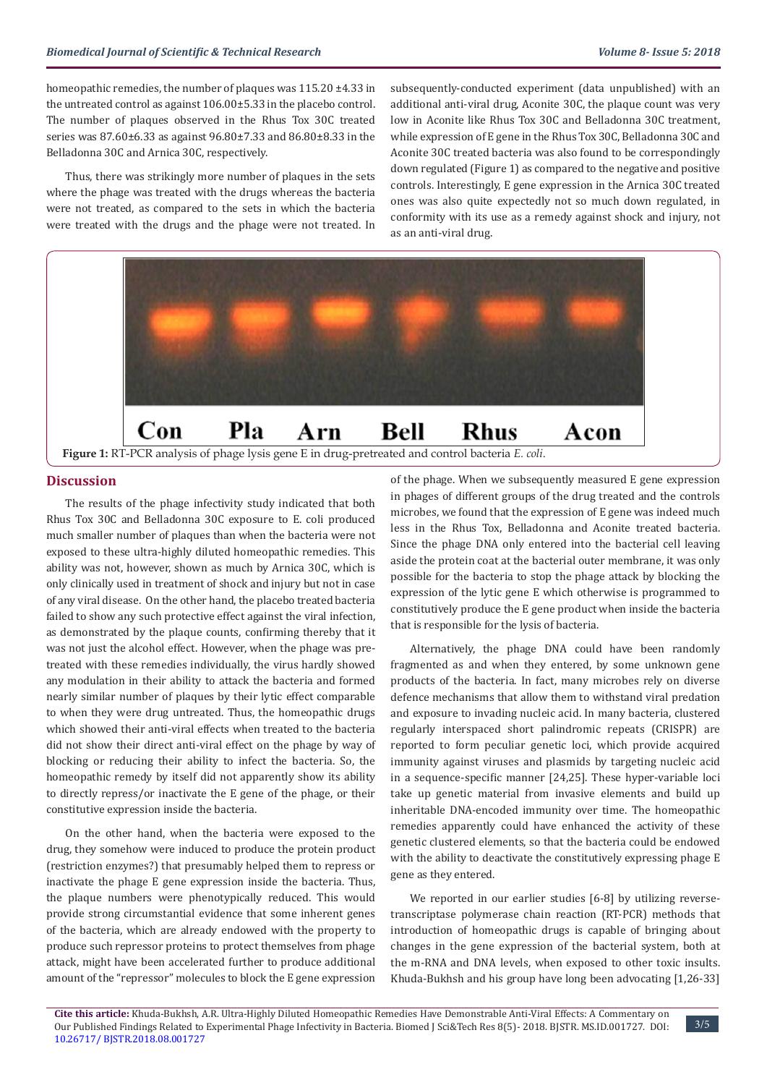homeopathic remedies, the number of plaques was 115.20 ±4.33 in the untreated control as against 106.00±5.33 in the placebo control. The number of plaques observed in the Rhus Tox 30C treated series was 87.60±6.33 as against 96.80±7.33 and 86.80±8.33 in the Belladonna 30C and Arnica 30C, respectively.

Thus, there was strikingly more number of plaques in the sets where the phage was treated with the drugs whereas the bacteria were not treated, as compared to the sets in which the bacteria were treated with the drugs and the phage were not treated. In subsequently-conducted experiment (data unpublished) with an additional anti-viral drug, Aconite 30C, the plaque count was very low in Aconite like Rhus Tox 30C and Belladonna 30C treatment, while expression of E gene in the Rhus Tox 30C, Belladonna 30C and Aconite 30C treated bacteria was also found to be correspondingly down regulated (Figure 1) as compared to the negative and positive controls. Interestingly, E gene expression in the Arnica 30C treated ones was also quite expectedly not so much down regulated, in conformity with its use as a remedy against shock and injury, not as an anti-viral drug.



#### **Discussion**

The results of the phage infectivity study indicated that both Rhus Tox 30C and Belladonna 30C exposure to E. coli produced much smaller number of plaques than when the bacteria were not exposed to these ultra-highly diluted homeopathic remedies. This ability was not, however, shown as much by Arnica 30C, which is only clinically used in treatment of shock and injury but not in case of any viral disease. On the other hand, the placebo treated bacteria failed to show any such protective effect against the viral infection, as demonstrated by the plaque counts, confirming thereby that it was not just the alcohol effect. However, when the phage was pretreated with these remedies individually, the virus hardly showed any modulation in their ability to attack the bacteria and formed nearly similar number of plaques by their lytic effect comparable to when they were drug untreated. Thus, the homeopathic drugs which showed their anti-viral effects when treated to the bacteria did not show their direct anti-viral effect on the phage by way of blocking or reducing their ability to infect the bacteria. So, the homeopathic remedy by itself did not apparently show its ability to directly repress/or inactivate the E gene of the phage, or their constitutive expression inside the bacteria.

On the other hand, when the bacteria were exposed to the drug, they somehow were induced to produce the protein product (restriction enzymes?) that presumably helped them to repress or inactivate the phage E gene expression inside the bacteria. Thus, the plaque numbers were phenotypically reduced. This would provide strong circumstantial evidence that some inherent genes of the bacteria, which are already endowed with the property to produce such repressor proteins to protect themselves from phage attack, might have been accelerated further to produce additional amount of the "repressor" molecules to block the E gene expression

of the phage. When we subsequently measured E gene expression in phages of different groups of the drug treated and the controls microbes, we found that the expression of E gene was indeed much less in the Rhus Tox, Belladonna and Aconite treated bacteria. Since the phage DNA only entered into the bacterial cell leaving aside the protein coat at the bacterial outer membrane, it was only possible for the bacteria to stop the phage attack by blocking the expression of the lytic gene E which otherwise is programmed to constitutively produce the E gene product when inside the bacteria that is responsible for the lysis of bacteria.

Alternatively, the phage DNA could have been randomly fragmented as and when they entered, by some unknown gene products of the bacteria. In fact, many microbes rely on diverse defence mechanisms that allow them to withstand viral predation and exposure to invading nucleic acid. In many bacteria, clustered regularly interspaced short palindromic repeats (CRISPR) are reported to form peculiar genetic loci, which provide acquired immunity against viruses and plasmids by targeting nucleic acid in a sequence-specific manner [24,25]. These hyper-variable loci take up genetic material from invasive elements and build up inheritable DNA-encoded immunity over time. The homeopathic remedies apparently could have enhanced the activity of these genetic clustered elements, so that the bacteria could be endowed with the ability to deactivate the constitutively expressing phage E gene as they entered.

We reported in our earlier studies [6-8] by utilizing reversetranscriptase polymerase chain reaction (RT-PCR) methods that introduction of homeopathic drugs is capable of bringing about changes in the gene expression of the bacterial system, both at the m-RNA and DNA levels, when exposed to other toxic insults. Khuda-Bukhsh and his group have long been advocating [1,26-33]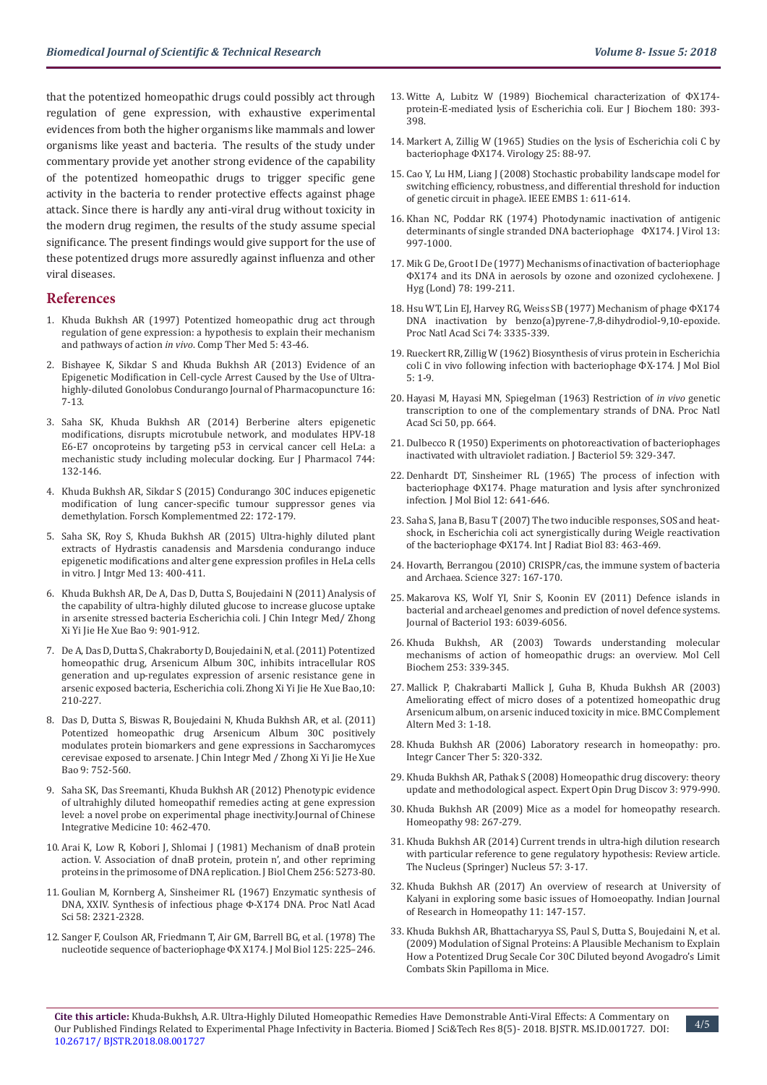that the potentized homeopathic drugs could possibly act through regulation of gene expression, with exhaustive experimental evidences from both the higher organisms like mammals and lower organisms like yeast and bacteria. The results of the study under commentary provide yet another strong evidence of the capability of the potentized homeopathic drugs to trigger specific gene activity in the bacteria to render protective effects against phage attack. Since there is hardly any anti-viral drug without toxicity in the modern drug regimen, the results of the study assume special significance. The present findings would give support for the use of these potentized drugs more assuredly against influenza and other viral diseases.

#### **References**

- 1. [Khuda Bukhsh AR \(1997\) Potentized homeopathic drug act through](https://www.sciencedirect.com/science/article/pii/S0965229997800908)  [regulation of gene expression: a hypothesis to explain their mechanism](https://www.sciencedirect.com/science/article/pii/S0965229997800908)  and pathways of action *in vivo*[. Comp Ther Med 5: 43-46.](https://www.sciencedirect.com/science/article/pii/S0965229997800908)
- 2. [Bishayee K, Sikdar S and Khuda Bukhsh AR \(2013\) Evidence of an](https://www.ncbi.nlm.nih.gov/pubmed/25780677)  [Epigenetic Modification in Cell-cycle Arrest Caused by the Use of Ultra](https://www.ncbi.nlm.nih.gov/pubmed/25780677)[highly-diluted Gonolobus Condurango Journal of Pharmacopuncture 16:](https://www.ncbi.nlm.nih.gov/pubmed/25780677)  [7-13.](https://www.ncbi.nlm.nih.gov/pubmed/25780677)
- 3. [Saha SK, Khuda Bukhsh AR \(2014\) Berberine alters epigenetic](https://www.ncbi.nlm.nih.gov/pubmed/25448308)  [modifications, disrupts microtubule network, and modulates HPV-18](https://www.ncbi.nlm.nih.gov/pubmed/25448308)  [E6-E7 oncoproteins by targeting p53 in cervical cancer cell HeLa: a](https://www.ncbi.nlm.nih.gov/pubmed/25448308)  [mechanistic study including molecular docking. Eur J Pharmacol 744:](https://www.ncbi.nlm.nih.gov/pubmed/25448308)  [132-146.](https://www.ncbi.nlm.nih.gov/pubmed/25448308)
- 4. [Khuda Bukhsh AR, Sikdar S \(2015\) Condurango 30C induces epigenetic](https://www.ncbi.nlm.nih.gov/pubmed/26088552)  [modification of lung cancer-specific tumour suppressor genes via](https://www.ncbi.nlm.nih.gov/pubmed/26088552)  [demethylation. Forsch Komplementmed 22: 172-179.](https://www.ncbi.nlm.nih.gov/pubmed/26088552)
- 5. [Saha SK, Roy S, Khuda Bukhsh AR \(2015\) Ultra-highly diluted plant](https://www.ncbi.nlm.nih.gov/pubmed/26559365)  [extracts of Hydrastis canadensis and Marsdenia condurango induce](https://www.ncbi.nlm.nih.gov/pubmed/26559365)  [epigenetic modifications and alter gene expression profiles in HeLa cells](https://www.ncbi.nlm.nih.gov/pubmed/26559365)  [in vitro. J Intgr Med 13: 400-411.](https://www.ncbi.nlm.nih.gov/pubmed/26559365)
- 6. [Khuda Bukhsh AR, De A, Das D, Dutta S, Boujedaini N \(2011\) Analysis of](https://www.ncbi.nlm.nih.gov/pubmed/21849152)  [the capability of ultra-highly diluted glucose to increase glucose uptake](https://www.ncbi.nlm.nih.gov/pubmed/21849152)  [in arsenite stressed bacteria Escherichia coli. J Chin Integr Med/ Zhong](https://www.ncbi.nlm.nih.gov/pubmed/21849152)  [Xi Yi Jie He Xue Bao 9: 901-912.](https://www.ncbi.nlm.nih.gov/pubmed/21849152)
- 7. [De A, Das D, Dutta S, Chakraborty D, Boujedaini N, et al. \(2011\) Potentized](https://www.ncbi.nlm.nih.gov/pubmed/22313889)  [homeopathic drug, Arsenicum Album 30C, inhibits intracellular ROS](https://www.ncbi.nlm.nih.gov/pubmed/22313889)  [generation and up-regulates expression of arsenic resistance gene in](https://www.ncbi.nlm.nih.gov/pubmed/22313889)  [arsenic exposed bacteria, Escherichia coli. Zhong Xi Yi Jie He Xue Bao,10:](https://www.ncbi.nlm.nih.gov/pubmed/22313889)  [210-227.](https://www.ncbi.nlm.nih.gov/pubmed/22313889)
- 8. [Das D, Dutta S, Biswas R, Boujedaini N, Khuda Bukhsh AR, et al. \(2011\)](https://www.ncbi.nlm.nih.gov/pubmed/21749826)  [Potentized homeopathic drug Arsenicum Album 30C positively](https://www.ncbi.nlm.nih.gov/pubmed/21749826)  [modulates protein biomarkers and gene expressions in Saccharomyces](https://www.ncbi.nlm.nih.gov/pubmed/21749826)  [cerevisae exposed to arsenate. J Chin Integr Med / Zhong Xi Yi Jie He Xue](https://www.ncbi.nlm.nih.gov/pubmed/21749826)  [Bao 9: 752-560.](https://www.ncbi.nlm.nih.gov/pubmed/21749826)
- 9. [Saha SK, Das Sreemanti, Khuda Bukhsh AR \(2012\) Phenotypic evidence](https://www.ncbi.nlm.nih.gov/pubmed/22500721)  [of ultrahighly diluted homeopathif remedies acting at gene expression](https://www.ncbi.nlm.nih.gov/pubmed/22500721)  [level: a novel probe on experimental phage inectivity.Journal of Chinese](https://www.ncbi.nlm.nih.gov/pubmed/22500721)  [Integrative Medicine 10: 462-470.](https://www.ncbi.nlm.nih.gov/pubmed/22500721)
- 10. [Arai K, Low R, Kobori J, Shlomai J \(1981\) Mechanism of dnaB protein](https://www.ncbi.nlm.nih.gov/pubmed/6262328)  [action. V. Association of dnaB protein, protein n', and other repriming](https://www.ncbi.nlm.nih.gov/pubmed/6262328)  [proteins in the primosome of DNA replication. J Biol Chem 256: 5273-80.](https://www.ncbi.nlm.nih.gov/pubmed/6262328)
- 11. [Goulian M, Kornberg A, Sinsheimer RL \(1967\) Enzymatic synthesis of](https://www.ncbi.nlm.nih.gov/pmc/articles/PMC223838/)  [DNA, XXIV. Synthesis of infectious phage Φ-X174 DNA. Proc Natl Acad](https://www.ncbi.nlm.nih.gov/pmc/articles/PMC223838/)  [Sci 58: 2321-2328.](https://www.ncbi.nlm.nih.gov/pmc/articles/PMC223838/)
- 12. [Sanger F, Coulson AR, Friedmann T, Air GM, Barrell BG, et al. \(1978\) The](https://www.ncbi.nlm.nih.gov/pubmed/731693)  [nucleotide sequence of bacteriophage ФX X174. J Mol Biol 125: 225–246.](https://www.ncbi.nlm.nih.gov/pubmed/731693)
- 13. [Witte A, Lubitz W \(1989\) Biochemical characterization of ФX174](https://www.ncbi.nlm.nih.gov/pubmed/1534215) [protein-E-mediated lysis of Escherichia coli. Eur J Biochem 180: 393-](https://www.ncbi.nlm.nih.gov/pubmed/1534215) [398.](https://www.ncbi.nlm.nih.gov/pubmed/1534215)
- 14. Markert A, Zillig W (1965) Studies on the lysis of Escherichia coli C by bacteriophage ФX174. Virology 25: 88-97.
- 15. [Cao Y, Lu HM, Liang J \(2008\) Stochastic probability landscape model for](https://www.ncbi.nlm.nih.gov/pmc/articles/PMC2630505/) [switching efficiency, robustness, and differential threshold for induction](https://www.ncbi.nlm.nih.gov/pmc/articles/PMC2630505/) [of genetic circuit in phageλ. IEEE EMBS 1: 611-614.](https://www.ncbi.nlm.nih.gov/pmc/articles/PMC2630505/)
- 16. Khan NC, Poddar RK (1974) Photodynamic inactivation of antigenic determinants of single stranded DNA bacteriophage ФX174. J Virol 13: 997-1000.
- 17. Mik G De, Groot I De (1977) Mechanisms of inactivation of bacteriophage ΦX174 and its DNA in aerosols by ozone and ozonized cyclohexene. J Hyg (Lond) 78: 199-211.
- 18. [Hsu WT, Lin EJ, Harvey RG, Weiss SB \(1977\) Mechanism of phage ΦX174](https://www.researchgate.net/publication/22805574_Mechanism_of_phage_phiX174_DNA_inactivation_by_benzoapyrene-78-dihydrodiol-910-epoxide) [DNA inactivation by benzo\(a\)pyrene-7,8-dihydrodiol-9,10-epoxide.](https://www.researchgate.net/publication/22805574_Mechanism_of_phage_phiX174_DNA_inactivation_by_benzoapyrene-78-dihydrodiol-910-epoxide) [Proc Natl Acad Sci 74: 3335-339.](https://www.researchgate.net/publication/22805574_Mechanism_of_phage_phiX174_DNA_inactivation_by_benzoapyrene-78-dihydrodiol-910-epoxide)
- 19. Rueckert RR, Zillig W (1962) Biosynthesis of virus protein in Escherichia coli C in vivo following infection with bacteriophage ФX-174. J Mol Biol 5: 1-9.
- 20. [Hayasi M, Hayasi MN, Spiegelman \(1963\) Restriction of](https://www.ncbi.nlm.nih.gov/pubmed/14077495) *in vivo* genetic [transcription to one of the complementary strands of DNA. Proc Natl](https://www.ncbi.nlm.nih.gov/pubmed/14077495) [Acad Sci 50, pp. 664.](https://www.ncbi.nlm.nih.gov/pubmed/14077495)
- 21. [Dulbecco R \(1950\) Experiments on photoreactivation of bacteriophages](https://www.ncbi.nlm.nih.gov/pmc/articles/PMC385765/) [inactivated with ultraviolet radiation. J Bacteriol 59: 329-347.](https://www.ncbi.nlm.nih.gov/pmc/articles/PMC385765/)
- 22. [Denhardt DT, Sinsheimer RL \(1965\) The process of infection with](https://www.sciencedirect.com/science/article/pii/S0022283665803187) [bacteriophage ΦX174. Phage maturation and lysis after synchronized](https://www.sciencedirect.com/science/article/pii/S0022283665803187) [infection. J Mol Biol 12: 641-646.](https://www.sciencedirect.com/science/article/pii/S0022283665803187)
- 23. [Saha S, Jana B, Basu T \(2007\) The two inducible responses, SOS and heat](https://www.tandfonline.com/doi/abs/10.1080/09553000701371389)[shock, in Escherichia coli act synergistically during Weigle reactivation](https://www.tandfonline.com/doi/abs/10.1080/09553000701371389) [of the bacteriophage ΦX174. Int J Radiat Biol 83: 463-469.](https://www.tandfonline.com/doi/abs/10.1080/09553000701371389)
- 24. [Hovarth, Berrangou \(2010\) CRISPR/cas, the immune system of bacteria](https://www.ncbi.nlm.nih.gov/pubmed/20056882) [and Archaea. Science 327: 167-170.](https://www.ncbi.nlm.nih.gov/pubmed/20056882)
- 25. [Makarova KS, Wolf YI, Snir S, Koonin EV \(2011\) Defence islands in](https://www.ncbi.nlm.nih.gov/pubmed/21908672) [bacterial and archeael genomes and prediction of novel defence systems.](https://www.ncbi.nlm.nih.gov/pubmed/21908672) [Journal of Bacteriol 193: 6039-6056.](https://www.ncbi.nlm.nih.gov/pubmed/21908672)
- 26. [Khuda Bukhsh, AR \(2003\) Towards understanding molecular](https://www.ncbi.nlm.nih.gov/pubmed/14619985) [mechanisms of action of homeopathic drugs: an overview. Mol Cell](https://www.ncbi.nlm.nih.gov/pubmed/14619985) [Biochem 253: 339-345.](https://www.ncbi.nlm.nih.gov/pubmed/14619985)
- 27. [Mallick P, Chakrabarti Mallick J, Guha B, Khuda Bukhsh AR \(2003\)](https://bmccomplementalternmed.biomedcentral.com/articles/10.1186/1472-6882-3-7) [Ameliorating effect of micro doses of a potentized homeopathic drug](https://bmccomplementalternmed.biomedcentral.com/articles/10.1186/1472-6882-3-7) [Arsenicum album, on arsenic induced toxicity in mice. BMC Complement](https://bmccomplementalternmed.biomedcentral.com/articles/10.1186/1472-6882-3-7) [Altern Med 3: 1-18.](https://bmccomplementalternmed.biomedcentral.com/articles/10.1186/1472-6882-3-7)
- 28. [Khuda Bukhsh AR \(2006\) Laboratory research in homeopathy: pro.](https://www.ncbi.nlm.nih.gov/pubmed/17101761) [Integr Cancer Ther 5: 320-332.](https://www.ncbi.nlm.nih.gov/pubmed/17101761)
- 29. [Khuda Bukhsh AR, Pathak S \(2008\) Homeopathic drug discovery: theory](https://www.ncbi.nlm.nih.gov/pubmed/23484971) [update and methodological aspect. Expert Opin Drug Discov 3: 979-990.](https://www.ncbi.nlm.nih.gov/pubmed/23484971)
- 30. [Khuda Bukhsh AR \(2009\) Mice as a model for homeopathy research.](https://www.ncbi.nlm.nih.gov/pubmed/19945679) [Homeopathy 98: 267-279.](https://www.ncbi.nlm.nih.gov/pubmed/19945679)
- 31. [Khuda Bukhsh AR \(2014\) Current trends in ultra-high dilution research](https://www.researchgate.net/publication/271913850_Current_trends_in_high_dilution_research_with_particular_reference_to_gene_regulatory_hypothesis) [with particular reference to gene regulatory hypothesis: Review article.](https://www.researchgate.net/publication/271913850_Current_trends_in_high_dilution_research_with_particular_reference_to_gene_regulatory_hypothesis) [The Nucleus \(Springer\) Nucleus 57: 3-17.](https://www.researchgate.net/publication/271913850_Current_trends_in_high_dilution_research_with_particular_reference_to_gene_regulatory_hypothesis)
- 32. [Khuda Bukhsh AR \(2017\) An overview of research at University of](http://www.ijrh.org/article.asp?issn=0974-7168;year=2017;volume=11;issue=3;spage=147;epage=157;aulast=Khuda-Bukhsh;type=0) [Kalyani in exploring some basic issues of Homoeopathy. Indian Journal](http://www.ijrh.org/article.asp?issn=0974-7168;year=2017;volume=11;issue=3;spage=147;epage=157;aulast=Khuda-Bukhsh;type=0) [of Research in Homeopathy 11: 147-157.](http://www.ijrh.org/article.asp?issn=0974-7168;year=2017;volume=11;issue=3;spage=147;epage=157;aulast=Khuda-Bukhsh;type=0)
- 33. [Khuda Bukhsh AR, Bhattacharyya SS, Paul S, Dutta S, Boujedaini N, et al.](https://search.proquest.com/openview/56c14e0240c93b465a05ad53599bc412/1.pdf?pq-origsite=gscholar&cbl=2037463) [\(2009\) Modulation of Signal Proteins: A Plausible Mechanism to Explain](https://search.proquest.com/openview/56c14e0240c93b465a05ad53599bc412/1.pdf?pq-origsite=gscholar&cbl=2037463) [How a Potentized Drug Secale Cor 30C Diluted beyond Avogadro's Limit](https://search.proquest.com/openview/56c14e0240c93b465a05ad53599bc412/1.pdf?pq-origsite=gscholar&cbl=2037463) [Combats Skin Papilloma in Mice.](https://search.proquest.com/openview/56c14e0240c93b465a05ad53599bc412/1.pdf?pq-origsite=gscholar&cbl=2037463)